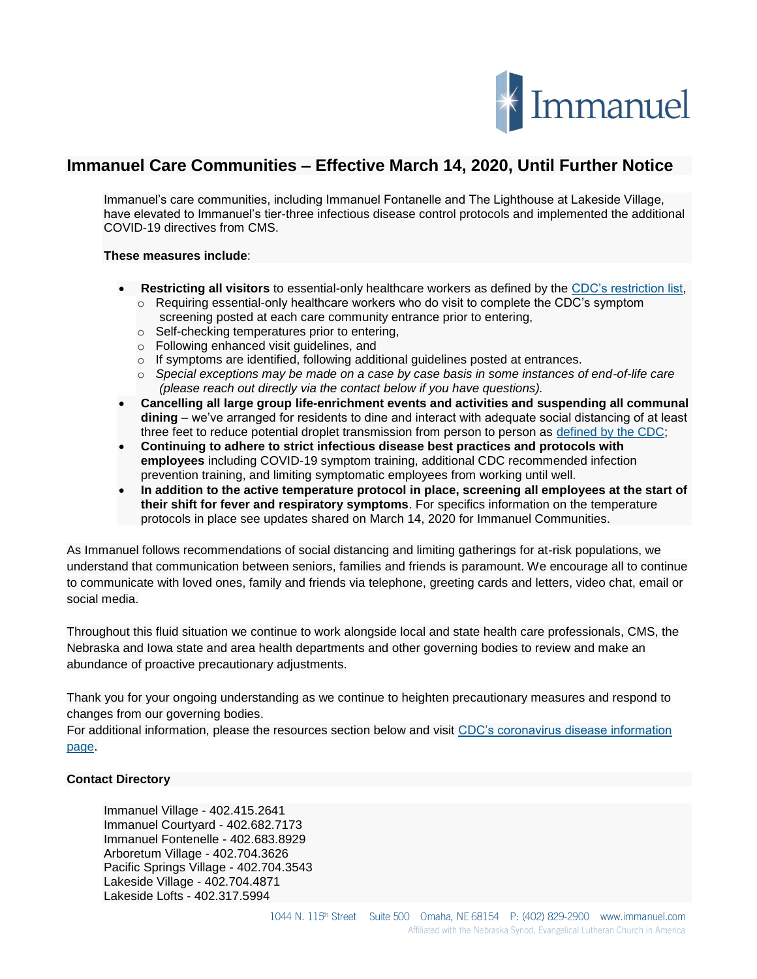

## **Immanuel Care Communities – Effective March 14, 2020, Until Further Notice**

Immanuel's care communities, including Immanuel Fontanelle and The Lighthouse at Lakeside Village, have elevated to Immanuel's tier-three infectious disease control protocols and implemented the additional COVID-19 directives from CMS.

## **These measures include**:

- **Restricting all visitors** to essential-only healthcare workers as defined by the [CDC's restriction list,](https://www.cdc.gov/coronavirus/2019-ncov/hcp/guidance-risk-assesment-hcp.html) o Requiring essential-only healthcare workers who do visit to complete the CDC's symptom
	- screening posted at each care community entrance prior to entering,
	- o Self-checking temperatures prior to entering,
	- o Following enhanced visit guidelines, and
	- o If symptoms are identified, following additional guidelines posted at entrances.
	- o *Special exceptions may be made on a case by case basis in some instances of end-of-life care (please reach out directly via the contact below if you have questions).*
- **Cancelling all large group life-enrichment events and activities and suspending all communal dining** – we've arranged for residents to dine and interact with adequate social distancing of at least three feet to reduce potential droplet transmission from person to person as [defined by the CDC;](https://www.cdc.gov/infectioncontrol/guidelines/isolation/index.html%C2%A0)
- **Continuing to adhere to strict infectious disease best practices and protocols with employees** including COVID-19 symptom training, additional CDC recommended infection prevention training, and limiting symptomatic employees from working until well.
- **In addition to the active temperature protocol in place, screening all employees at the start of their shift for fever and respiratory symptoms**. For specifics information on the temperature protocols in place see updates shared on March 14, 2020 for Immanuel Communities.

As Immanuel follows recommendations of social distancing and limiting gatherings for at-risk populations, we understand that communication between seniors, families and friends is paramount. We encourage all to continue to communicate with loved ones, family and friends via telephone, greeting cards and letters, video chat, email or social media.

Throughout this fluid situation we continue to work alongside local and state health care professionals, CMS, the Nebraska and Iowa state and area health departments and other governing bodies to review and make an abundance of proactive precautionary adjustments.

Thank you for your ongoing understanding as we continue to heighten precautionary measures and respond to changes from our governing bodies.

For additional information, please the resources section below and visit [CDC's coronavirus disease information](https://www.cdc.gov/coronavirus/2019-ncov/index.html%C2%A0)  [page.](https://www.cdc.gov/coronavirus/2019-ncov/index.html%C2%A0)

## **Contact Directory**

Immanuel Village - 402.415.2641 Immanuel Courtyard - 402.682.7173 Immanuel Fontenelle - 402.683.8929 Arboretum Village - 402.704.3626 Pacific Springs Village - 402.704.3543 Lakeside Village - 402.704.4871 Lakeside Lofts - 402.317.5994